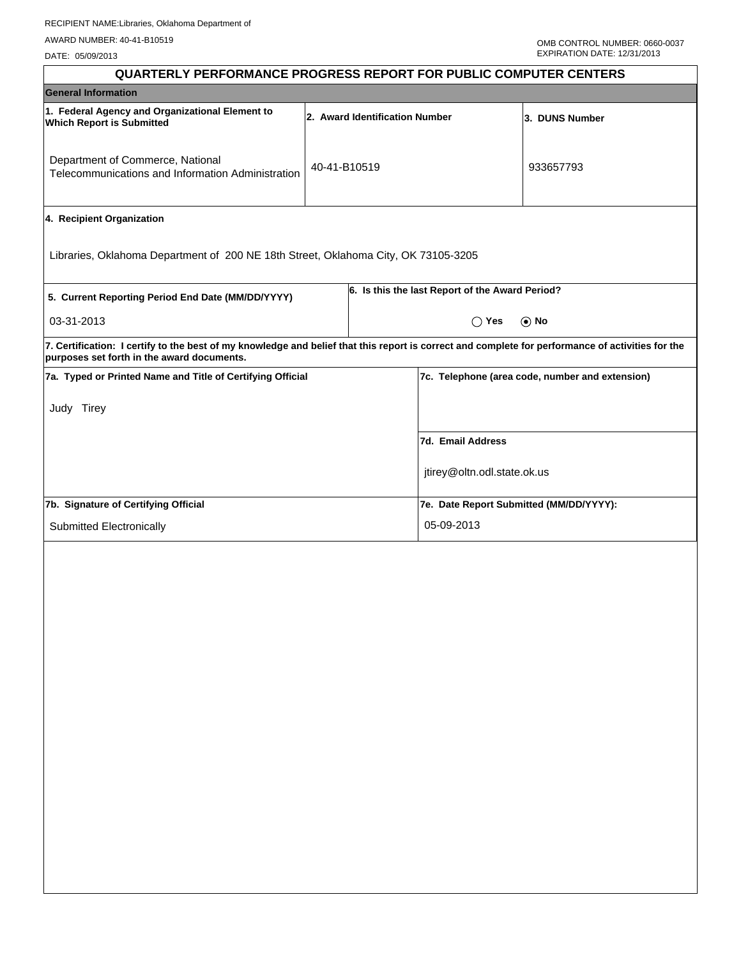DATE: 05/09/2013

| <b>QUARTERLY PERFORMANCE PROGRESS REPORT FOR PUBLIC COMPUTER CENTERS</b>                                                                                                                        |              |                                |                                                 |                |
|-------------------------------------------------------------------------------------------------------------------------------------------------------------------------------------------------|--------------|--------------------------------|-------------------------------------------------|----------------|
| <b>General Information</b>                                                                                                                                                                      |              |                                |                                                 |                |
| 1. Federal Agency and Organizational Element to<br><b>Which Report is Submitted</b>                                                                                                             |              | 2. Award Identification Number |                                                 | 3. DUNS Number |
| Department of Commerce, National<br>Telecommunications and Information Administration                                                                                                           | 40-41-B10519 |                                |                                                 | 933657793      |
| 4. Recipient Organization                                                                                                                                                                       |              |                                |                                                 |                |
| Libraries, Oklahoma Department of 200 NE 18th Street, Oklahoma City, OK 73105-3205                                                                                                              |              |                                |                                                 |                |
| 5. Current Reporting Period End Date (MM/DD/YYYY)                                                                                                                                               |              |                                | 6. Is this the last Report of the Award Period? |                |
| 03-31-2013                                                                                                                                                                                      |              |                                | $\bigcap$ Yes                                   | $\odot$ No     |
| 7. Certification: I certify to the best of my knowledge and belief that this report is correct and complete for performance of activities for the<br>purposes set forth in the award documents. |              |                                |                                                 |                |
| 7a. Typed or Printed Name and Title of Certifying Official                                                                                                                                      |              |                                | 7c. Telephone (area code, number and extension) |                |
| Judy Tirey                                                                                                                                                                                      |              |                                |                                                 |                |
|                                                                                                                                                                                                 |              |                                | 7d. Email Address                               |                |
|                                                                                                                                                                                                 |              |                                | jtirey@oltn.odl.state.ok.us                     |                |
| 7b. Signature of Certifying Official                                                                                                                                                            |              |                                | 7e. Date Report Submitted (MM/DD/YYYY):         |                |
| Submitted Electronically                                                                                                                                                                        |              |                                | 05-09-2013                                      |                |
|                                                                                                                                                                                                 |              |                                |                                                 |                |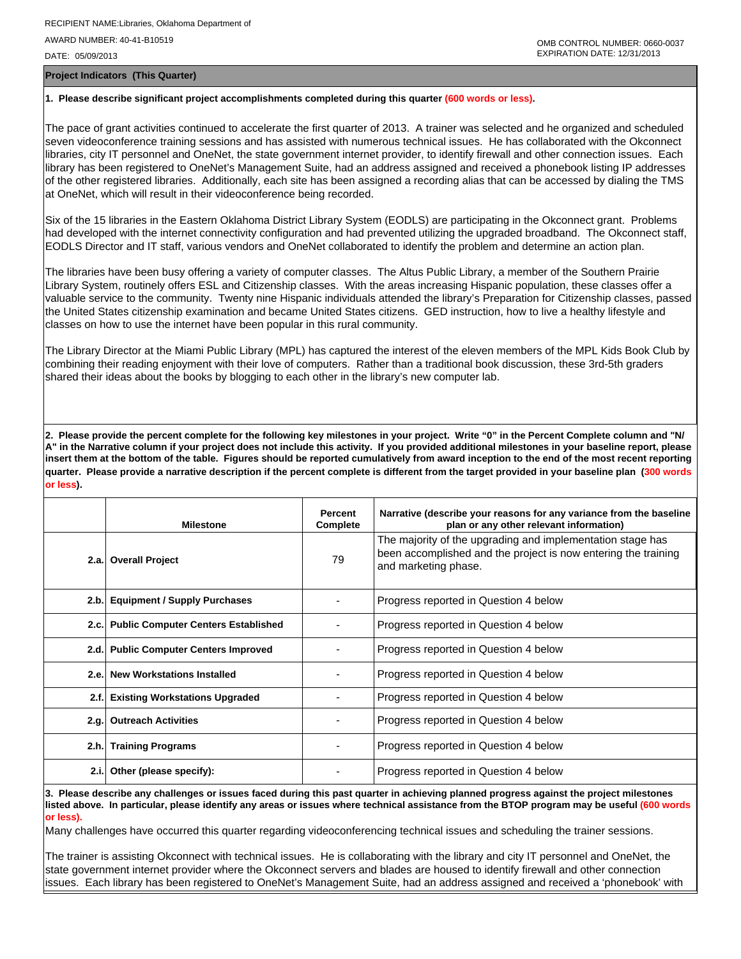DATE: 05/09/2013

**Project Indicators (This Quarter)**

### **1. Please describe significant project accomplishments completed during this quarter (600 words or less).**

The pace of grant activities continued to accelerate the first quarter of 2013. A trainer was selected and he organized and scheduled seven videoconference training sessions and has assisted with numerous technical issues. He has collaborated with the Okconnect libraries, city IT personnel and OneNet, the state government internet provider, to identify firewall and other connection issues. Each library has been registered to OneNet's Management Suite, had an address assigned and received a phonebook listing IP addresses of the other registered libraries. Additionally, each site has been assigned a recording alias that can be accessed by dialing the TMS at OneNet, which will result in their videoconference being recorded.

Six of the 15 libraries in the Eastern Oklahoma District Library System (EODLS) are participating in the Okconnect grant. Problems had developed with the internet connectivity configuration and had prevented utilizing the upgraded broadband. The Okconnect staff, EODLS Director and IT staff, various vendors and OneNet collaborated to identify the problem and determine an action plan.

The libraries have been busy offering a variety of computer classes. The Altus Public Library, a member of the Southern Prairie Library System, routinely offers ESL and Citizenship classes. With the areas increasing Hispanic population, these classes offer a valuable service to the community. Twenty nine Hispanic individuals attended the library's Preparation for Citizenship classes, passed the United States citizenship examination and became United States citizens. GED instruction, how to live a healthy lifestyle and classes on how to use the internet have been popular in this rural community.

The Library Director at the Miami Public Library (MPL) has captured the interest of the eleven members of the MPL Kids Book Club by combining their reading enjoyment with their love of computers. Rather than a traditional book discussion, these 3rd-5th graders shared their ideas about the books by blogging to each other in the library's new computer lab.

**2. Please provide the percent complete for the following key milestones in your project. Write "0" in the Percent Complete column and "N/ A" in the Narrative column if your project does not include this activity. If you provided additional milestones in your baseline report, please insert them at the bottom of the table. Figures should be reported cumulatively from award inception to the end of the most recent reporting quarter. Please provide a narrative description if the percent complete is different from the target provided in your baseline plan (300 words or less).**

|       | <b>Milestone</b>                         | <b>Percent</b><br>Complete | Narrative (describe your reasons for any variance from the baseline<br>plan or any other relevant information)                                       |
|-------|------------------------------------------|----------------------------|------------------------------------------------------------------------------------------------------------------------------------------------------|
|       | 2.a. Overall Project                     | 79                         | The majority of the upgrading and implementation stage has<br>been accomplished and the project is now entering the training<br>and marketing phase. |
|       | 2.b. Equipment / Supply Purchases        |                            | Progress reported in Question 4 below                                                                                                                |
|       | 2.c. Public Computer Centers Established |                            | Progress reported in Question 4 below                                                                                                                |
|       | 2.d. Public Computer Centers Improved    |                            | Progress reported in Question 4 below                                                                                                                |
| 2.e.  | <b>New Workstations Installed</b>        |                            | Progress reported in Question 4 below                                                                                                                |
|       | 2.f. Existing Workstations Upgraded      |                            | Progress reported in Question 4 below                                                                                                                |
|       | 2.g. Outreach Activities                 |                            | Progress reported in Question 4 below                                                                                                                |
|       | 2.h. Training Programs                   |                            | Progress reported in Question 4 below                                                                                                                |
| 2.i.1 | Other (please specify):                  |                            | Progress reported in Question 4 below                                                                                                                |

**3. Please describe any challenges or issues faced during this past quarter in achieving planned progress against the project milestones listed above. In particular, please identify any areas or issues where technical assistance from the BTOP program may be useful (600 words or less).**

Many challenges have occurred this quarter regarding videoconferencing technical issues and scheduling the trainer sessions.

The trainer is assisting Okconnect with technical issues. He is collaborating with the library and city IT personnel and OneNet, the state government internet provider where the Okconnect servers and blades are housed to identify firewall and other connection issues. Each library has been registered to OneNet's Management Suite, had an address assigned and received a 'phonebook' with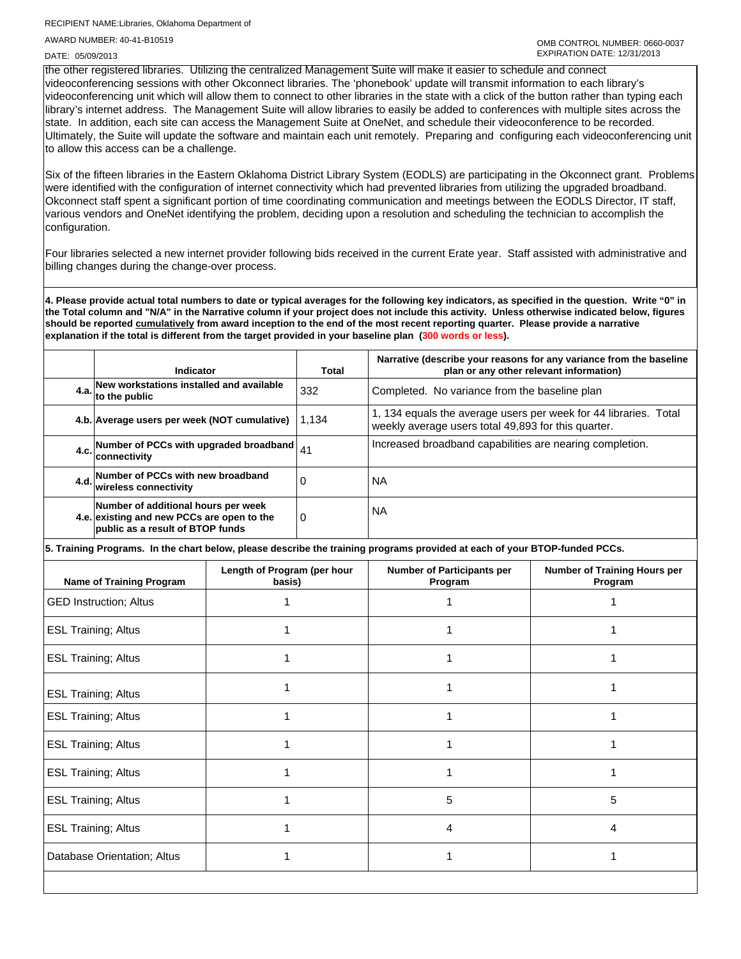## RECIPIENT NAME:Libraries, Oklahoma Department of AWARD NUMBER: 40-41-B10519

#### DATE: 05/09/2013

the other registered libraries. Utilizing the centralized Management Suite will make it easier to schedule and connect videoconferencing sessions with other Okconnect libraries. The 'phonebook' update will transmit information to each library's videoconferencing unit which will allow them to connect to other libraries in the state with a click of the button rather than typing each library's internet address. The Management Suite will allow libraries to easily be added to conferences with multiple sites across the state. In addition, each site can access the Management Suite at OneNet, and schedule their videoconference to be recorded. Ultimately, the Suite will update the software and maintain each unit remotely. Preparing and configuring each videoconferencing unit to allow this access can be a challenge.

Six of the fifteen libraries in the Eastern Oklahoma District Library System (EODLS) are participating in the Okconnect grant. Problems were identified with the configuration of internet connectivity which had prevented libraries from utilizing the upgraded broadband. Okconnect staff spent a significant portion of time coordinating communication and meetings between the EODLS Director, IT staff, various vendors and OneNet identifying the problem, deciding upon a resolution and scheduling the technician to accomplish the configuration.

Four libraries selected a new internet provider following bids received in the current Erate year. Staff assisted with administrative and billing changes during the change-over process.

**4. Please provide actual total numbers to date or typical averages for the following key indicators, as specified in the question. Write "0" in the Total column and "N/A" in the Narrative column if your project does not include this activity. Unless otherwise indicated below, figures should be reported cumulatively from award inception to the end of the most recent reporting quarter. Please provide a narrative explanation if the total is different from the target provided in your baseline plan (300 words or less).** 

| Indicator                                                                                                             | Total    | Narrative (describe your reasons for any variance from the baseline<br>plan or any other relevant information)          |
|-----------------------------------------------------------------------------------------------------------------------|----------|-------------------------------------------------------------------------------------------------------------------------|
| 4.a. New workstations installed and available<br>4.a. to the public                                                   | 332      | Completed. No variance from the baseline plan                                                                           |
| 4.b. Average users per week (NOT cumulative)                                                                          | 1.134    | 1, 134 equals the average users per week for 44 libraries. Total<br>weekly average users total 49,893 for this quarter. |
| 4.c. Number of PCCs with upgraded broadband<br>connectivity                                                           | 41       | Increased broadband capabilities are nearing completion.                                                                |
| 4.d. Number of PCCs with new broadband<br>wireless connectivity                                                       | 0        | ΝA                                                                                                                      |
| Number of additional hours per week<br>4.e. existing and new PCCs are open to the<br>public as a result of BTOP funds | $\Omega$ | ΝA                                                                                                                      |

**5. Training Programs. In the chart below, please describe the training programs provided at each of your BTOP-funded PCCs.**

| Name of Training Program      | Length of Program (per hour<br>basis) | <b>Number of Participants per</b><br>Program | <b>Number of Training Hours per</b><br>Program |
|-------------------------------|---------------------------------------|----------------------------------------------|------------------------------------------------|
| <b>GED Instruction; Altus</b> |                                       |                                              |                                                |
| <b>ESL Training; Altus</b>    |                                       |                                              |                                                |
| <b>ESL Training; Altus</b>    |                                       |                                              |                                                |
| <b>ESL Training; Altus</b>    |                                       |                                              |                                                |
| <b>ESL Training; Altus</b>    |                                       |                                              |                                                |
| <b>ESL Training; Altus</b>    |                                       |                                              |                                                |
| <b>ESL Training; Altus</b>    |                                       |                                              |                                                |
| <b>ESL Training; Altus</b>    |                                       | 5                                            | 5                                              |
| <b>ESL Training; Altus</b>    |                                       | 4                                            | 4                                              |
| Database Orientation; Altus   |                                       |                                              |                                                |
|                               |                                       |                                              |                                                |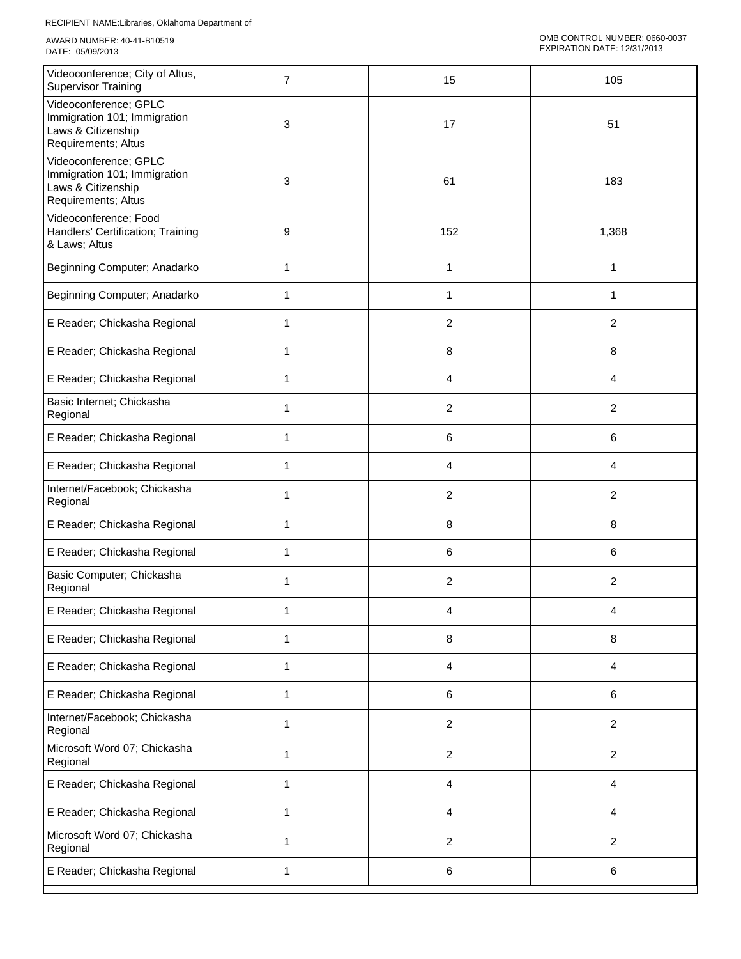| Videoconference; City of Altus,<br><b>Supervisor Training</b>                                      | $\overline{7}$ | 15             | 105                     |
|----------------------------------------------------------------------------------------------------|----------------|----------------|-------------------------|
| Videoconference; GPLC<br>Immigration 101; Immigration<br>Laws & Citizenship<br>Requirements; Altus | 3              | 17             | 51                      |
| Videoconference; GPLC<br>Immigration 101; Immigration<br>Laws & Citizenship<br>Requirements; Altus | 3              | 61             | 183                     |
| Videoconference; Food<br>Handlers' Certification; Training<br>& Laws; Altus                        | 9              | 152            | 1,368                   |
| Beginning Computer; Anadarko                                                                       | 1              | 1              | 1                       |
| Beginning Computer; Anadarko                                                                       | 1              | 1              | 1                       |
| E Reader; Chickasha Regional                                                                       | 1              | 2              | 2                       |
| E Reader; Chickasha Regional                                                                       | 1              | 8              | 8                       |
| E Reader; Chickasha Regional                                                                       | 1              | 4              | 4                       |
| Basic Internet; Chickasha<br>Regional                                                              | 1              | 2              | $\overline{2}$          |
| E Reader; Chickasha Regional                                                                       | 1              | 6              | 6                       |
| E Reader; Chickasha Regional                                                                       | 1              | 4              | 4                       |
| Internet/Facebook; Chickasha<br>Regional                                                           | 1              | 2              | $\overline{c}$          |
| E Reader; Chickasha Regional                                                                       | 1              | 8              | 8                       |
| E Reader; Chickasha Regional                                                                       | 1              | 6              | 6                       |
| Basic Computer; Chickasha<br>Regional                                                              | 1              | 2              | $\overline{\mathbf{c}}$ |
| E Reader; Chickasha Regional                                                                       |                | 4              | 4                       |
| E Reader; Chickasha Regional                                                                       | 1              | 8              | 8                       |
| E Reader; Chickasha Regional                                                                       | 1              | 4              | 4                       |
| E Reader; Chickasha Regional                                                                       | 1              | 6              | 6                       |
| Internet/Facebook; Chickasha<br>Regional                                                           | 1              | 2              | $\overline{2}$          |
| Microsoft Word 07; Chickasha<br>Regional                                                           | 1              | $\overline{c}$ | $\overline{2}$          |
| E Reader; Chickasha Regional                                                                       | 1              | 4              | 4                       |
| E Reader; Chickasha Regional                                                                       | 1              | 4              | 4                       |
| Microsoft Word 07; Chickasha<br>Regional                                                           | 1              | $\overline{c}$ | $\overline{c}$          |
| E Reader; Chickasha Regional                                                                       | 1              | 6              | $\,6$                   |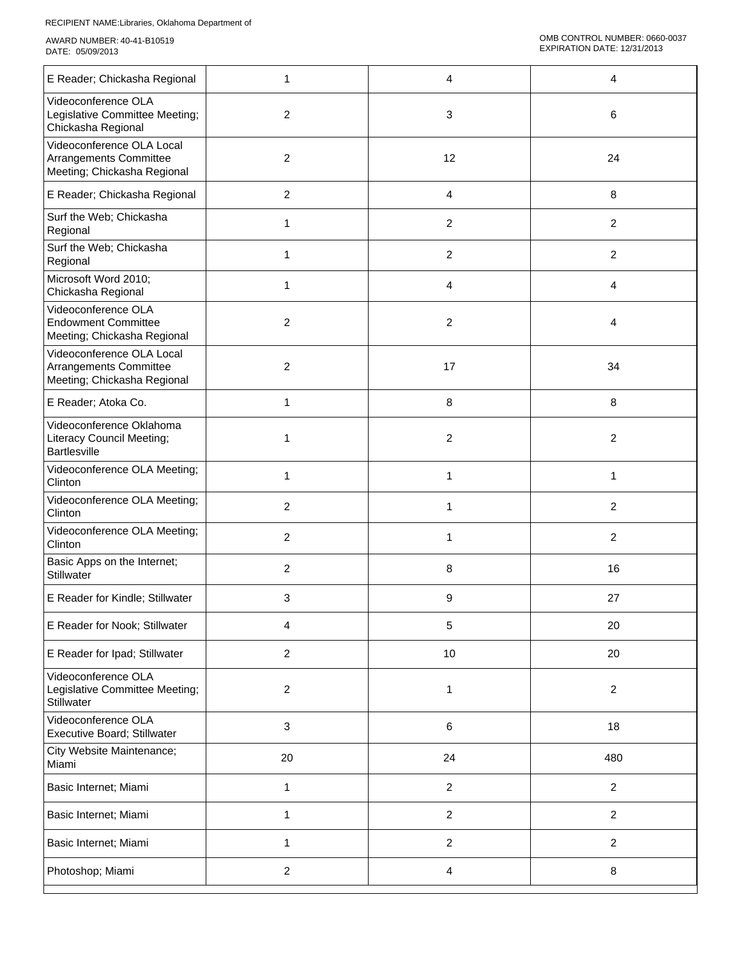| E Reader; Chickasha Regional                                                        | 1                       | 4                       | 4              |
|-------------------------------------------------------------------------------------|-------------------------|-------------------------|----------------|
| Videoconference OLA<br>Legislative Committee Meeting;<br>Chickasha Regional         | $\overline{2}$          | 3                       | 6              |
| Videoconference OLA Local<br>Arrangements Committee<br>Meeting; Chickasha Regional  | $\overline{2}$          | 12                      | 24             |
| E Reader; Chickasha Regional                                                        | $\overline{2}$          | 4                       | 8              |
| Surf the Web; Chickasha<br>Regional                                                 | 1                       | $\overline{\mathbf{c}}$ | $\overline{c}$ |
| Surf the Web; Chickasha<br>Regional                                                 | 1                       | $\overline{\mathbf{c}}$ | $\overline{2}$ |
| Microsoft Word 2010;<br>Chickasha Regional                                          | 1                       | 4                       | 4              |
| Videoconference OLA<br><b>Endowment Committee</b><br>Meeting; Chickasha Regional    | 2                       | $\overline{\mathbf{c}}$ | 4              |
| Videoconference OLA Local<br>Arrangements Committee<br>Meeting; Chickasha Regional  | $\overline{\mathbf{c}}$ | 17                      | 34             |
| E Reader; Atoka Co.                                                                 | 1                       | 8                       | 8              |
| Videoconference Oklahoma<br><b>Literacy Council Meeting;</b><br><b>Bartlesville</b> | 1                       | 2                       | $\overline{2}$ |
| Videoconference OLA Meeting;<br>Clinton                                             | 1                       | 1                       | 1              |
| Videoconference OLA Meeting;<br>Clinton                                             | $\overline{2}$          | 1                       | $\overline{2}$ |
| Videoconference OLA Meeting;<br>Clinton                                             | $\overline{2}$          | 1                       | $\overline{c}$ |
| Basic Apps on the Internet;<br>Stillwater                                           | 2                       | 8                       | 16             |
| E Reader for Kindle; Stillwater                                                     | 3                       | 9                       | 27             |
| E Reader for Nook; Stillwater                                                       | 4                       | 5                       | 20             |
| E Reader for Ipad; Stillwater                                                       | $\overline{c}$          | 10                      | 20             |
| Videoconference OLA<br>Legislative Committee Meeting;<br>Stillwater                 | $\overline{\mathbf{c}}$ | 1                       | $\overline{c}$ |
| Videoconference OLA<br>Executive Board; Stillwater                                  | 3                       | 6                       | 18             |
| City Website Maintenance;<br>Miami                                                  | 20                      | 24                      | 480            |
| Basic Internet; Miami                                                               | 1                       | $\overline{c}$          | $\overline{c}$ |
| Basic Internet; Miami                                                               | 1                       | $\overline{c}$          | $\overline{2}$ |
| Basic Internet; Miami                                                               | 1                       | $\overline{c}$          | $\overline{2}$ |
| Photoshop; Miami                                                                    | $\sqrt{2}$              | 4                       | 8              |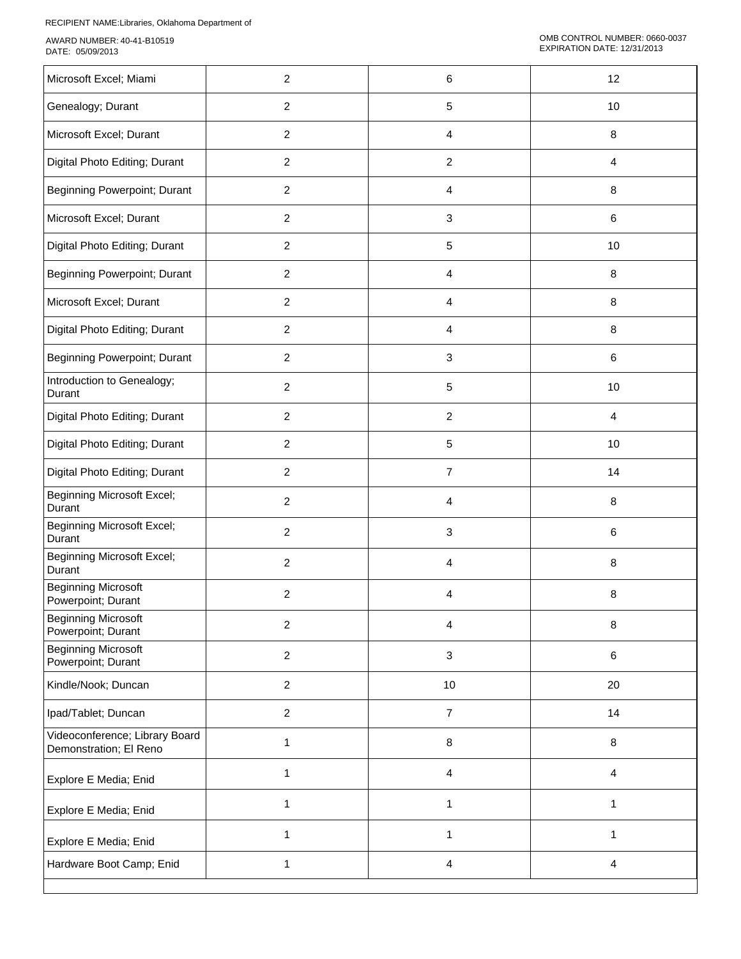| Microsoft Excel; Miami                                   | $\overline{c}$ | 6                         | 12             |
|----------------------------------------------------------|----------------|---------------------------|----------------|
| Genealogy; Durant                                        | $\overline{c}$ | 5                         | 10             |
| Microsoft Excel; Durant                                  | $\overline{c}$ | 4                         | 8              |
| Digital Photo Editing; Durant                            | $\overline{2}$ | $\overline{c}$            | 4              |
| Beginning Powerpoint; Durant                             | $\overline{2}$ | 4                         | 8              |
| Microsoft Excel; Durant                                  | $\overline{2}$ | 3                         | 6              |
| Digital Photo Editing; Durant                            | $\overline{c}$ | 5                         | 10             |
| Beginning Powerpoint; Durant                             | $\overline{c}$ | 4                         | 8              |
| Microsoft Excel; Durant                                  | $\overline{2}$ | 4                         | 8              |
| Digital Photo Editing; Durant                            | $\overline{c}$ | 4                         | 8              |
| Beginning Powerpoint; Durant                             | $\overline{2}$ | 3                         | 6              |
| Introduction to Genealogy;<br>Durant                     | $\overline{c}$ | 5                         | 10             |
| Digital Photo Editing; Durant                            | $\overline{c}$ | $\overline{c}$            | 4              |
| Digital Photo Editing; Durant                            | $\overline{c}$ | 5                         | 10             |
| Digital Photo Editing; Durant                            | $\overline{2}$ | $\overline{7}$            | 14             |
| <b>Beginning Microsoft Excel;</b><br>Durant              | $\overline{c}$ | 4                         | 8              |
| <b>Beginning Microsoft Excel;</b><br>Durant              | $\overline{c}$ | 3                         | 6              |
| <b>Beginning Microsoft Excel;</b><br>Durant              | $\overline{2}$ | 4                         | 8              |
| <b>Beginning Microsoft</b><br>Powerpoint; Durant         | $\overline{c}$ | 4                         | 8              |
| <b>Beginning Microsoft</b><br>Powerpoint; Durant         | $\overline{c}$ | 4                         | 8              |
| <b>Beginning Microsoft</b><br>Powerpoint; Durant         | $\overline{2}$ | $\ensuremath{\mathsf{3}}$ | 6              |
| Kindle/Nook; Duncan                                      | $\overline{2}$ | $10$                      | 20             |
| Ipad/Tablet; Duncan                                      | $\overline{2}$ | $\overline{7}$            | 14             |
| Videoconference; Library Board<br>Demonstration; El Reno | 1              | 8                         | 8              |
| Explore E Media; Enid                                    | $\mathbf{1}$   | 4                         | $\overline{4}$ |
| Explore E Media; Enid                                    | 1              | 1                         | $\mathbf{1}$   |
| Explore E Media; Enid                                    | 1              | $\mathbf{1}$              | 1              |
| Hardware Boot Camp; Enid                                 | 1              | 4                         | 4              |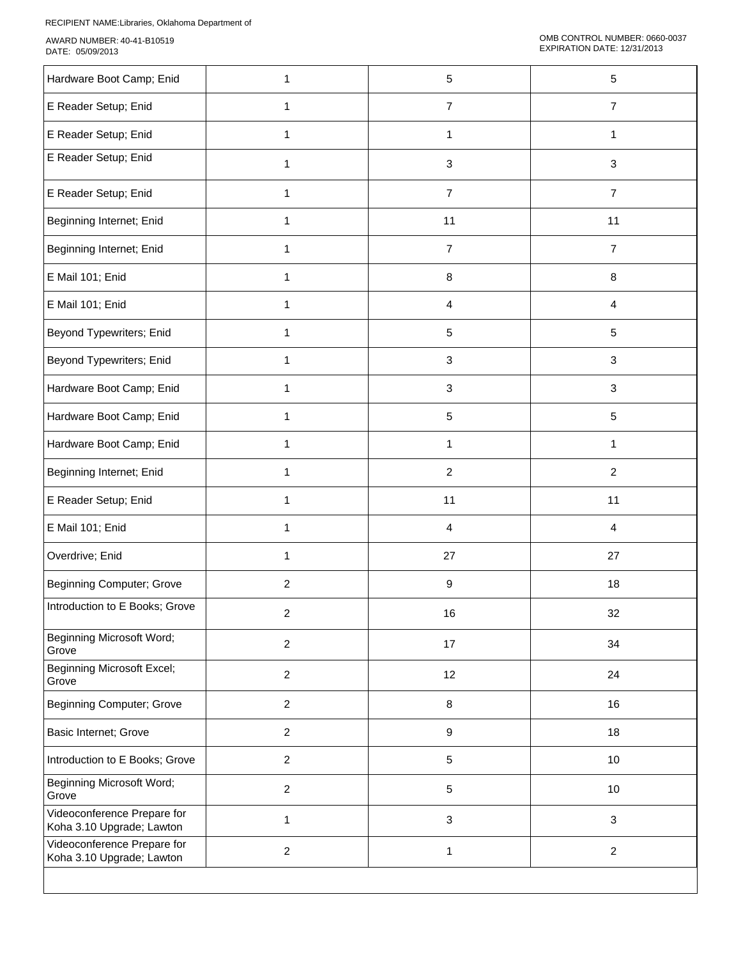| Hardware Boot Camp; Enid                                 | 1              | 5                         | 5              |
|----------------------------------------------------------|----------------|---------------------------|----------------|
| E Reader Setup; Enid                                     | 1              | $\overline{7}$            | $\overline{7}$ |
| E Reader Setup; Enid                                     | 1              | 1                         | 1              |
| E Reader Setup; Enid                                     | 1              | $\mathbf{3}$              | 3              |
| E Reader Setup; Enid                                     | $\mathbf{1}$   | $\overline{7}$            | $\overline{7}$ |
| Beginning Internet; Enid                                 | 1              | 11                        | 11             |
| Beginning Internet; Enid                                 | 1              | 7                         | $\overline{7}$ |
| E Mail 101; Enid                                         | 1              | 8                         | 8              |
| E Mail 101; Enid                                         | 1              | 4                         | $\overline{4}$ |
| Beyond Typewriters; Enid                                 | 1              | $\sqrt{5}$                | 5              |
| Beyond Typewriters; Enid                                 | 1              | $\ensuremath{\mathsf{3}}$ | $\mathbf{3}$   |
| Hardware Boot Camp; Enid                                 | 1              | 3                         | 3              |
| Hardware Boot Camp; Enid                                 | 1              | 5                         | 5              |
| Hardware Boot Camp; Enid                                 | 1              | 1                         | 1              |
| Beginning Internet; Enid                                 | 1              | $\sqrt{2}$                | $\overline{2}$ |
| E Reader Setup; Enid                                     | $\mathbf{1}$   | 11                        | 11             |
| E Mail 101; Enid                                         | $\mathbf{1}$   | $\overline{4}$            | 4              |
| Overdrive; Enid                                          | 1              | 27                        | 27             |
| <b>Beginning Computer; Grove</b>                         | $\overline{c}$ | 9                         | 18             |
| Introduction to E Books; Grove                           | $\overline{c}$ | 16                        | 32             |
| <b>Beginning Microsoft Word;</b><br>Grove                | $\overline{2}$ | 17                        | 34             |
| <b>Beginning Microsoft Excel;</b><br>Grove               | $\overline{c}$ | 12                        | 24             |
| <b>Beginning Computer; Grove</b>                         | $\overline{2}$ | $\, 8$                    | 16             |
| Basic Internet; Grove                                    | $\overline{2}$ | $\boldsymbol{9}$          | 18             |
| Introduction to E Books; Grove                           | $\overline{c}$ | $\sqrt{5}$                | 10             |
| <b>Beginning Microsoft Word;</b><br>Grove                | $\overline{c}$ | $\sqrt{5}$                | 10             |
| Videoconference Prepare for<br>Koha 3.10 Upgrade; Lawton | 1              | $\sqrt{3}$                | $\mathbf{3}$   |
| Videoconference Prepare for<br>Koha 3.10 Upgrade; Lawton | $\overline{c}$ | $\mathbf{1}$              | $\overline{c}$ |
|                                                          |                |                           |                |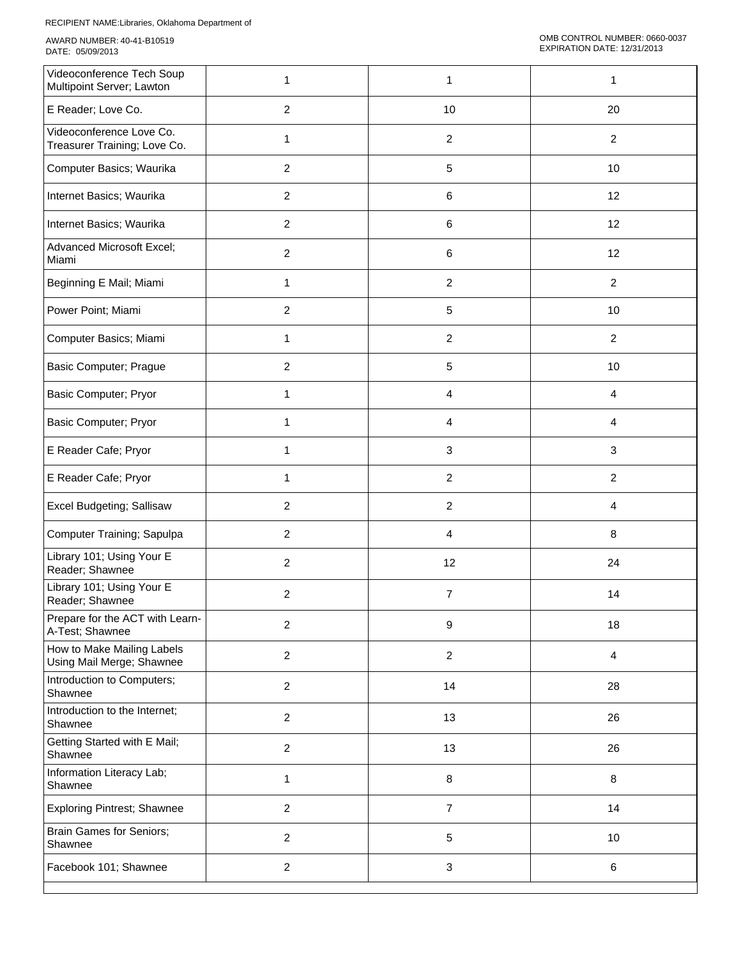| Videoconference Tech Soup<br>Multipoint Server; Lawton   | 1                       | 1                       | 1              |
|----------------------------------------------------------|-------------------------|-------------------------|----------------|
| E Reader; Love Co.                                       | $\overline{2}$          | 10                      | 20             |
| Videoconference Love Co.<br>Treasurer Training; Love Co. | 1                       | $\overline{c}$          | $\overline{2}$ |
| Computer Basics; Waurika                                 | $\overline{2}$          | 5                       | 10             |
| Internet Basics; Waurika                                 | $\overline{2}$          | 6                       | 12             |
| Internet Basics; Waurika                                 | $\overline{c}$          | 6                       | 12             |
| Advanced Microsoft Excel;<br>Miami                       | $\overline{c}$          | 6                       | 12             |
| Beginning E Mail; Miami                                  | 1                       | $\boldsymbol{2}$        | $\overline{2}$ |
| Power Point; Miami                                       | $\overline{c}$          | 5                       | 10             |
| Computer Basics; Miami                                   | $\mathbf{1}$            | $\overline{c}$          | $\overline{2}$ |
| <b>Basic Computer; Prague</b>                            | $\overline{c}$          | 5                       | 10             |
| Basic Computer; Pryor                                    | 1                       | 4                       | 4              |
| <b>Basic Computer; Pryor</b>                             | 1                       | 4                       | 4              |
| E Reader Cafe; Pryor                                     | 1                       | 3                       | 3              |
| E Reader Cafe; Pryor                                     | 1                       | $\overline{\mathbf{c}}$ | $\overline{c}$ |
| Excel Budgeting; Sallisaw                                | $\overline{2}$          | $\overline{c}$          | 4              |
| Computer Training; Sapulpa                               | $\overline{2}$          | 4                       | 8              |
| Library 101; Using Your E<br>Reader; Shawnee             | 2                       | 12                      | 24             |
| Library 101; Using Your E<br>Reader; Shawnee             | 2                       | 7                       | 14             |
| Prepare for the ACT with Learn-<br>A-Test; Shawnee       | 2                       | 9                       | 18             |
| How to Make Mailing Labels<br>Using Mail Merge; Shawnee  | $\overline{a}$          | $\boldsymbol{2}$        | $\overline{4}$ |
| Introduction to Computers;<br>Shawnee                    | $\overline{2}$          | 14                      | 28             |
| Introduction to the Internet;<br>Shawnee                 | $\overline{c}$          | 13                      | 26             |
| Getting Started with E Mail;<br>Shawnee                  | $\overline{c}$          | 13                      | 26             |
| Information Literacy Lab;<br>Shawnee                     | 1                       | 8                       | $\bf 8$        |
| <b>Exploring Pintrest; Shawnee</b>                       | $\overline{c}$          | $\overline{7}$          | 14             |
| <b>Brain Games for Seniors;</b><br>Shawnee               | $\overline{\mathbf{c}}$ | 5                       | 10             |
| Facebook 101; Shawnee                                    | $\overline{\mathbf{c}}$ | 3                       | $\,6\,$        |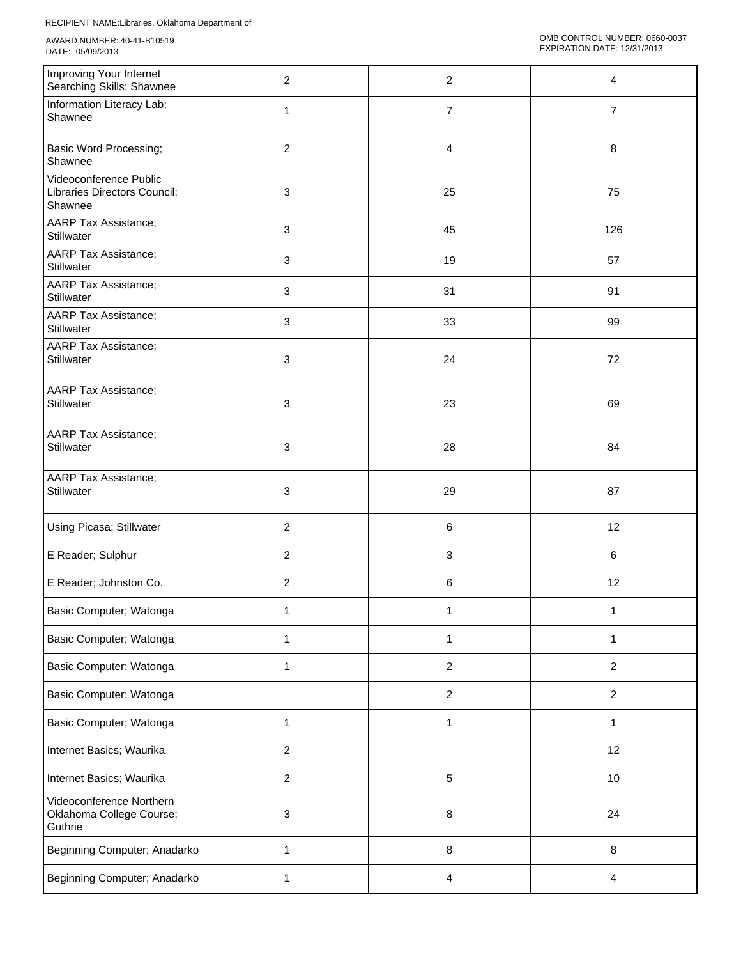| Improving Your Internet<br>Searching Skills; Shawnee              | $\overline{2}$ | $\overline{c}$            | 4                       |
|-------------------------------------------------------------------|----------------|---------------------------|-------------------------|
| Information Literacy Lab;<br>Shawnee                              | 1              | $\overline{7}$            | $\overline{7}$          |
| <b>Basic Word Processing;</b><br>Shawnee                          | $\overline{2}$ | 4                         | 8                       |
| Videoconference Public<br>Libraries Directors Council;<br>Shawnee | 3              | 25                        | 75                      |
| <b>AARP Tax Assistance;</b><br>Stillwater                         | 3              | 45                        | 126                     |
| <b>AARP Tax Assistance;</b><br>Stillwater                         | 3              | 19                        | 57                      |
| <b>AARP Tax Assistance;</b><br>Stillwater                         | 3              | 31                        | 91                      |
| <b>AARP Tax Assistance;</b><br>Stillwater                         | 3              | 33                        | 99                      |
| AARP Tax Assistance;<br>Stillwater                                | 3              | 24                        | 72                      |
| AARP Tax Assistance;<br>Stillwater                                | 3              | 23                        | 69                      |
| AARP Tax Assistance;<br>Stillwater                                | 3              | 28                        | 84                      |
| AARP Tax Assistance;<br>Stillwater                                | 3              | 29                        | 87                      |
| Using Picasa; Stillwater                                          | $\overline{c}$ | $\,6\,$                   | 12                      |
| E Reader; Sulphur                                                 | $\overline{c}$ | $\ensuremath{\mathsf{3}}$ | 6                       |
| E Reader; Johnston Co.                                            | $\overline{c}$ | 6                         | 12                      |
| Basic Computer; Watonga                                           | 1              | 1                         | 1                       |
| Basic Computer; Watonga                                           | $\mathbf{1}$   | $\mathbf{1}$              | $\mathbf{1}$            |
| Basic Computer; Watonga                                           | $\mathbf{1}$   | $\overline{c}$            | $\overline{2}$          |
| Basic Computer; Watonga                                           |                | $\boldsymbol{2}$          | $\overline{c}$          |
| Basic Computer; Watonga                                           | $\mathbf{1}$   | $\mathbf{1}$              | $\mathbf{1}$            |
| Internet Basics; Waurika                                          | $\overline{c}$ |                           | 12                      |
| Internet Basics; Waurika                                          | $\overline{c}$ | $\sqrt{5}$                | 10                      |
| Videoconference Northern<br>Oklahoma College Course;<br>Guthrie   | 3              | 8                         | 24                      |
| Beginning Computer; Anadarko                                      | 1              | $\, 8$                    | 8                       |
| Beginning Computer; Anadarko                                      | 1              | $\overline{\mathbf{4}}$   | $\overline{\mathbf{4}}$ |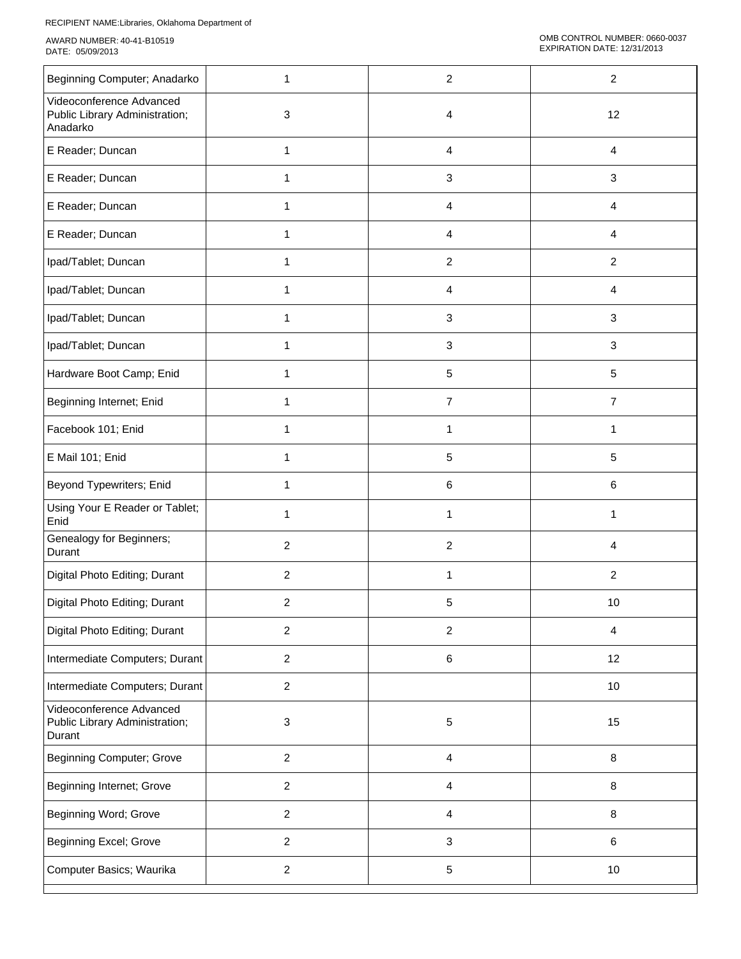| Beginning Computer; Anadarko                                           | 1              | $\overline{2}$ | $\overline{c}$ |
|------------------------------------------------------------------------|----------------|----------------|----------------|
| Videoconference Advanced<br>Public Library Administration;<br>Anadarko | 3              | 4              | 12             |
| E Reader; Duncan                                                       | $\mathbf{1}$   | 4              | 4              |
| E Reader; Duncan                                                       | 1              | 3              | 3              |
| E Reader; Duncan                                                       | 1              | 4              | 4              |
| E Reader; Duncan                                                       | 1              | 4              | 4              |
| Ipad/Tablet; Duncan                                                    | 1              | 2              | $\overline{2}$ |
| Ipad/Tablet; Duncan                                                    | 1              | 4              | 4              |
| Ipad/Tablet; Duncan                                                    | 1              | 3              | 3              |
| Ipad/Tablet; Duncan                                                    | 1              | 3              | 3              |
| Hardware Boot Camp; Enid                                               | 1              | $\sqrt{5}$     | 5              |
| Beginning Internet; Enid                                               | 1              | $\overline{7}$ | $\overline{7}$ |
| Facebook 101; Enid                                                     | 1              | 1              | 1              |
| E Mail 101; Enid                                                       | 1              | 5              | 5              |
| Beyond Typewriters; Enid                                               | 1              | 6              | 6              |
| Using Your E Reader or Tablet;<br>Enid                                 | 1              | 1              | 1              |
| Genealogy for Beginners;<br>Durant                                     | $\overline{2}$ | $\overline{2}$ | 4              |
| Digital Photo Editing; Durant                                          | $\overline{2}$ | 1              | $\overline{2}$ |
| Digital Photo Editing; Durant                                          | 2              | 5              | $10$           |
| Digital Photo Editing; Durant                                          | $\overline{c}$ | $\sqrt{2}$     | $\overline{4}$ |
| Intermediate Computers; Durant                                         | $\overline{c}$ | $\,6$          | 12             |
| Intermediate Computers; Durant                                         | $\overline{c}$ |                | 10             |
| Videoconference Advanced<br>Public Library Administration;<br>Durant   | 3              | 5              | 15             |
| <b>Beginning Computer; Grove</b>                                       | $\overline{c}$ | $\overline{4}$ | 8              |
| Beginning Internet; Grove                                              | $\mathbf{2}$   | $\overline{4}$ | 8              |
| Beginning Word; Grove                                                  | $\overline{c}$ | $\overline{4}$ | 8              |
| Beginning Excel; Grove                                                 | $\overline{c}$ | $\mathsf 3$    | 6              |
| Computer Basics; Waurika                                               | $\overline{c}$ | $\mathbf 5$    | 10             |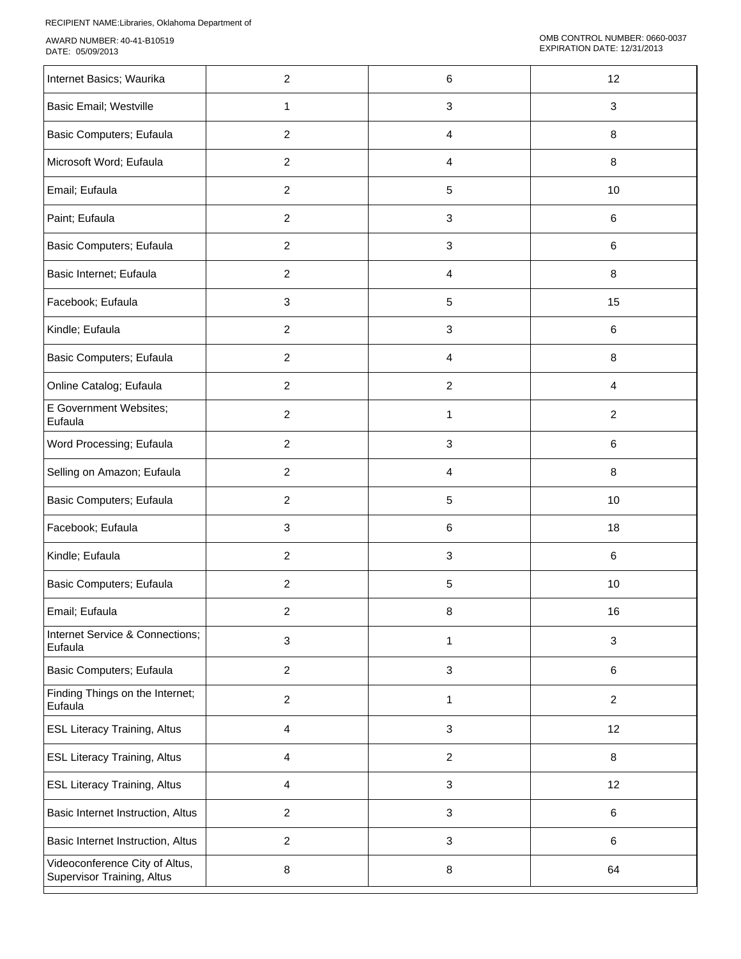| Internet Basics; Waurika                                     | $\overline{c}$ | 6                         | 12             |
|--------------------------------------------------------------|----------------|---------------------------|----------------|
| <b>Basic Email; Westville</b>                                | $\mathbf{1}$   | $\ensuremath{\mathsf{3}}$ | $\mathbf{3}$   |
| Basic Computers; Eufaula                                     | $\overline{2}$ | 4                         | 8              |
| Microsoft Word; Eufaula                                      | $\overline{2}$ | 4                         | $\,8\,$        |
| Email; Eufaula                                               | $\overline{2}$ | 5                         | 10             |
| Paint; Eufaula                                               | $\overline{2}$ | $\mathbf{3}$              | 6              |
| Basic Computers; Eufaula                                     | $\overline{2}$ | $\mathfrak{S}$            | $\,6\,$        |
| Basic Internet; Eufaula                                      | $\overline{2}$ | 4                         | $\,8\,$        |
| Facebook; Eufaula                                            | 3              | $\sqrt{5}$                | 15             |
| Kindle; Eufaula                                              | $\overline{2}$ | 3                         | 6              |
| Basic Computers; Eufaula                                     | $\overline{2}$ | 4                         | 8              |
| Online Catalog; Eufaula                                      | $\overline{2}$ | $\boldsymbol{2}$          | 4              |
| E Government Websites;<br>Eufaula                            | $\overline{2}$ | 1                         | $\overline{2}$ |
| Word Processing; Eufaula                                     | $\overline{2}$ | $\mathbf{3}$              | 6              |
| Selling on Amazon; Eufaula                                   | $\overline{2}$ | 4                         | $\,8\,$        |
| Basic Computers; Eufaula                                     | $\overline{2}$ | $\sqrt{5}$                | 10             |
| Facebook; Eufaula                                            | 3              | $\,6\,$                   | 18             |
| Kindle; Eufaula                                              | $\overline{2}$ | $\ensuremath{\mathsf{3}}$ | 6              |
| Basic Computers; Eufaula                                     | $\overline{2}$ | 5                         | 10             |
| Email; Eufaula                                               | 2              | 8                         | 16             |
| Internet Service & Connections;<br>Eufaula                   | 3              | 1                         | $\mathbf{3}$   |
| Basic Computers; Eufaula                                     | $\overline{a}$ | $\ensuremath{\mathsf{3}}$ | 6              |
| Finding Things on the Internet;<br>Eufaula                   | $\overline{a}$ | 1                         | $\overline{2}$ |
| <b>ESL Literacy Training, Altus</b>                          | 4              | $\ensuremath{\mathsf{3}}$ | 12             |
| <b>ESL Literacy Training, Altus</b>                          | 4              | 2                         | 8              |
| <b>ESL Literacy Training, Altus</b>                          | 4              | $\ensuremath{\mathsf{3}}$ | 12             |
| Basic Internet Instruction, Altus                            | $\overline{2}$ | $\ensuremath{\mathsf{3}}$ | 6              |
| Basic Internet Instruction, Altus                            | $\overline{c}$ | $\ensuremath{\mathsf{3}}$ | 6              |
| Videoconference City of Altus,<br>Supervisor Training, Altus | 8              | $\bf 8$                   | 64             |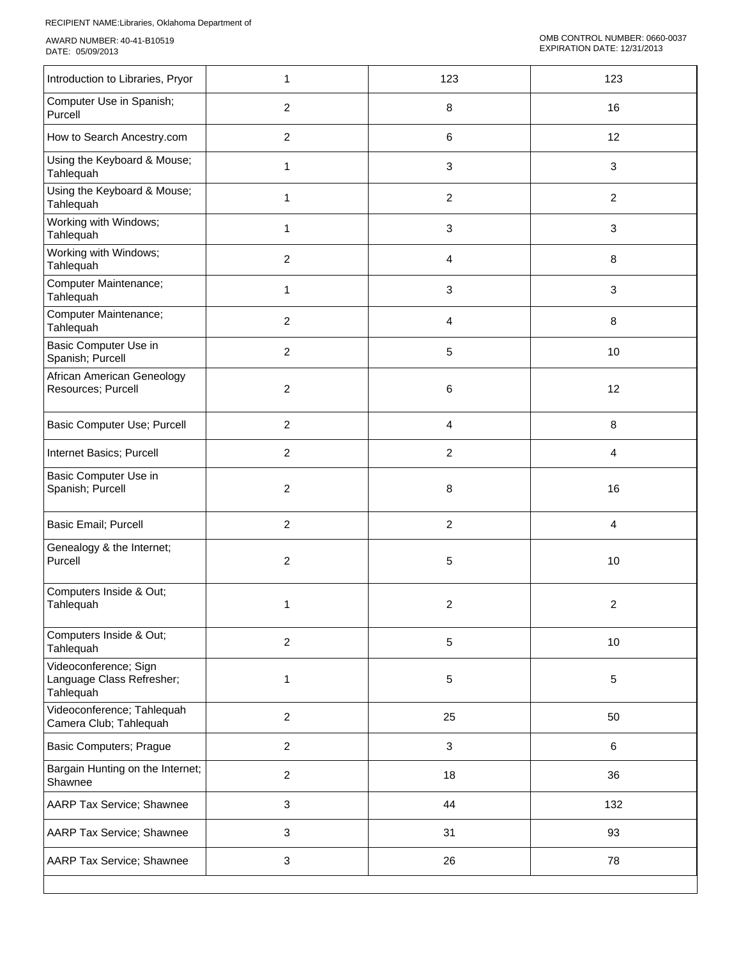| Introduction to Libraries, Pryor                                | 1              | 123            | 123             |
|-----------------------------------------------------------------|----------------|----------------|-----------------|
| Computer Use in Spanish;<br>Purcell                             | $\overline{c}$ | 8              | 16              |
| How to Search Ancestry.com                                      | $\overline{2}$ | 6              | 12              |
| Using the Keyboard & Mouse;<br>Tahlequah                        | 1              | 3              | $\sqrt{3}$      |
| Using the Keyboard & Mouse;<br>Tahlequah                        | 1              | $\overline{c}$ | $\overline{2}$  |
| Working with Windows;<br>Tahlequah                              | 1              | 3              | 3               |
| Working with Windows;<br>Tahlequah                              | $\overline{2}$ | 4              | 8               |
| Computer Maintenance;<br>Tahlequah                              | 1              | 3              | 3               |
| Computer Maintenance;<br>Tahlequah                              | $\overline{2}$ | 4              | 8               |
| Basic Computer Use in<br>Spanish; Purcell                       | $\overline{c}$ | 5              | 10              |
| African American Geneology<br>Resources; Purcell                | $\overline{c}$ | 6              | 12              |
| Basic Computer Use; Purcell                                     | $\overline{c}$ | 4              | 8               |
| Internet Basics; Purcell                                        | $\overline{c}$ | $\overline{c}$ | 4               |
| Basic Computer Use in<br>Spanish; Purcell                       | $\overline{2}$ | 8              | 16              |
| Basic Email; Purcell                                            | $\overline{c}$ | $\overline{c}$ | 4               |
| Genealogy & the Internet;<br>Purcell                            | 2              | 5              | $10$            |
| Computers Inside & Out;<br>Tahlequah                            | 1              | 2              | 2               |
| Computers Inside & Out;<br>Tahlequah                            | $\overline{2}$ | $\sqrt{5}$     | 10 <sub>1</sub> |
| Videoconference; Sign<br>Language Class Refresher;<br>Tahlequah | 1              | 5              | 5               |
| Videoconference; Tahlequah<br>Camera Club; Tahlequah            | $\overline{2}$ | 25             | 50              |
| <b>Basic Computers; Prague</b>                                  | $\overline{a}$ | $\mathbf{3}$   | 6               |
| Bargain Hunting on the Internet;<br>Shawnee                     | $\overline{2}$ | 18             | 36              |
| AARP Tax Service; Shawnee                                       | 3              | 44             | 132             |
| AARP Tax Service; Shawnee                                       | $\mathbf{3}$   | 31             | 93              |
| AARP Tax Service; Shawnee                                       | 3              | 26             | 78              |
|                                                                 |                |                |                 |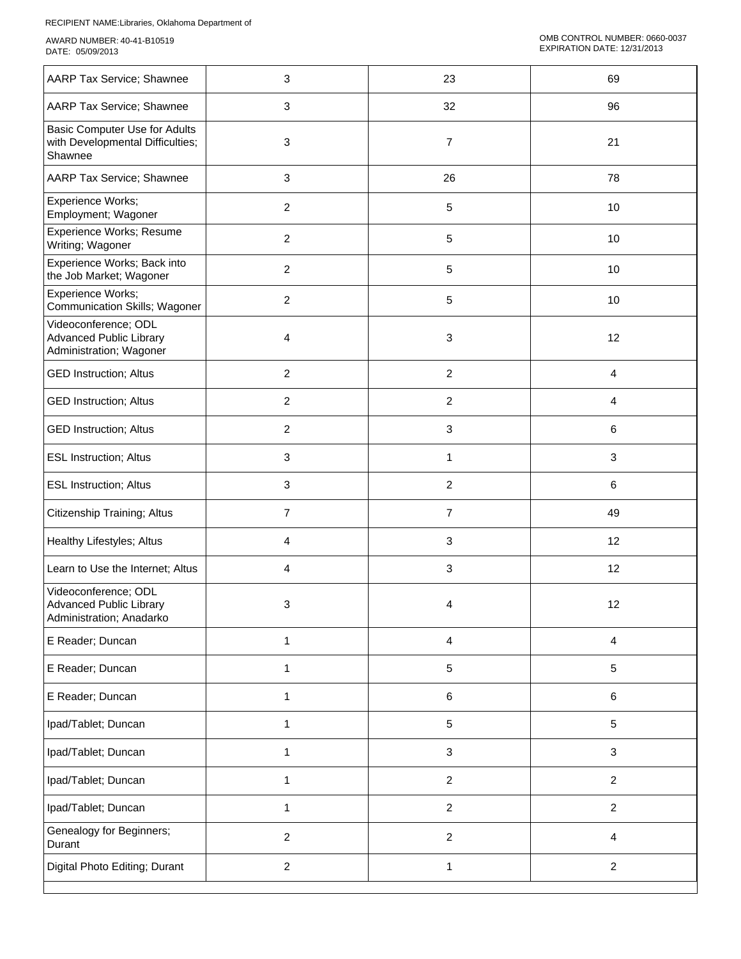| AARP Tax Service; Shawnee                                                          | 3              | 23                        | 69                |
|------------------------------------------------------------------------------------|----------------|---------------------------|-------------------|
| AARP Tax Service; Shawnee                                                          | 3              | 32                        | 96                |
| Basic Computer Use for Adults<br>with Developmental Difficulties;<br>Shawnee       | 3              | $\boldsymbol{7}$          | 21                |
| AARP Tax Service; Shawnee                                                          | 3              | 26                        | 78                |
| Experience Works;<br>Employment; Wagoner                                           | $\overline{2}$ | 5                         | 10                |
| Experience Works; Resume<br>Writing; Wagoner                                       | $\overline{c}$ | 5                         | $10$              |
| Experience Works; Back into<br>the Job Market; Wagoner                             | $\overline{c}$ | 5                         | 10                |
| Experience Works;<br>Communication Skills; Wagoner                                 | $\overline{c}$ | 5                         | 10                |
| Videoconference; ODL<br><b>Advanced Public Library</b><br>Administration; Wagoner  | 4              | 3                         | 12                |
| <b>GED Instruction; Altus</b>                                                      | $\overline{c}$ | $\boldsymbol{2}$          | 4                 |
| <b>GED Instruction; Altus</b>                                                      | $\overline{2}$ | $\overline{2}$            | 4                 |
| <b>GED Instruction; Altus</b>                                                      | $\overline{c}$ | $\ensuremath{\mathsf{3}}$ | 6                 |
| <b>ESL Instruction; Altus</b>                                                      | 3              | $\mathbf{1}$              | $\mathbf{3}$      |
| <b>ESL Instruction; Altus</b>                                                      | 3              | $\boldsymbol{2}$          | 6                 |
| Citizenship Training; Altus                                                        | $\overline{7}$ | $\overline{7}$            | 49                |
| Healthy Lifestyles; Altus                                                          | 4              | 3                         | 12                |
| Learn to Use the Internet; Altus                                                   | 4              | $\ensuremath{\mathsf{3}}$ | 12                |
| Videoconference; ODL<br><b>Advanced Public Library</b><br>Administration; Anadarko | 3              | 4                         | $12 \overline{ }$ |
| E Reader; Duncan                                                                   | 1              | 4                         | 4                 |
| E Reader; Duncan                                                                   | 1              | $\,$ 5 $\,$               | 5                 |
| E Reader; Duncan                                                                   | $\mathbf{1}$   | 6                         | 6                 |
| Ipad/Tablet; Duncan                                                                | $\mathbf{1}$   | 5                         | $\sqrt{5}$        |
| Ipad/Tablet; Duncan                                                                | $\mathbf{1}$   | $\ensuremath{\mathsf{3}}$ | 3                 |
| Ipad/Tablet; Duncan                                                                | 1              | $\overline{c}$            | $\overline{c}$    |
| Ipad/Tablet; Duncan                                                                | 1              | $\boldsymbol{2}$          | $\overline{a}$    |
| Genealogy for Beginners;<br>Durant                                                 | $\overline{c}$ | $\boldsymbol{2}$          | 4                 |
| Digital Photo Editing; Durant                                                      | $\overline{2}$ | 1                         | $\overline{c}$    |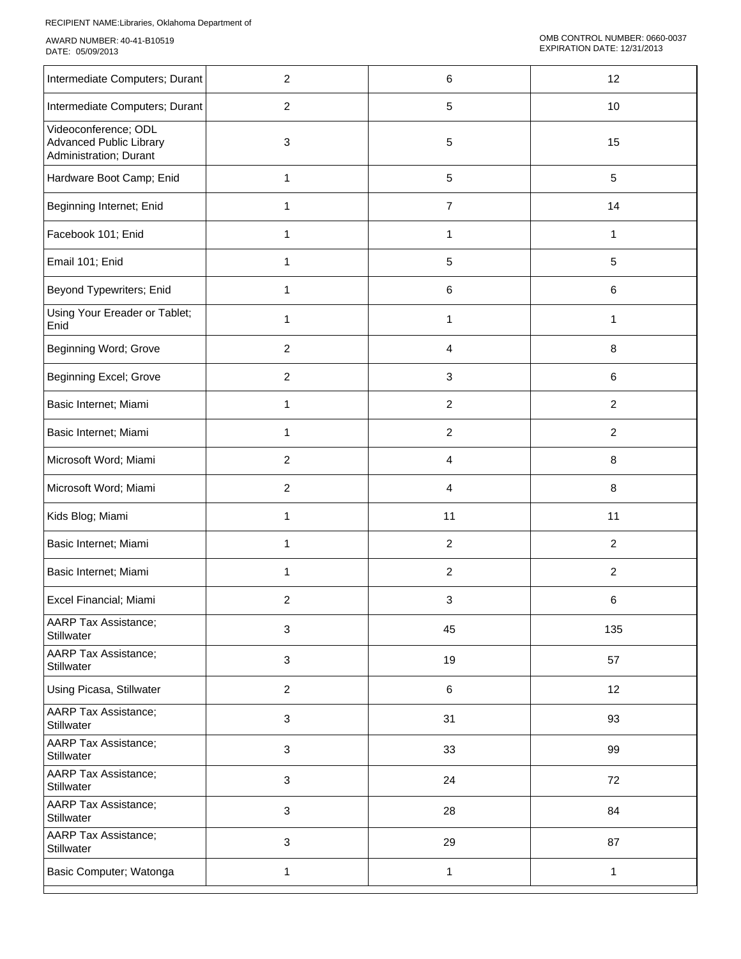| Intermediate Computers; Durant                                                   | 2              | 6                       | 12             |
|----------------------------------------------------------------------------------|----------------|-------------------------|----------------|
| Intermediate Computers; Durant                                                   | $\overline{2}$ | 5                       | $10$           |
| Videoconference; ODL<br><b>Advanced Public Library</b><br>Administration; Durant | 3              | 5                       | 15             |
| Hardware Boot Camp; Enid                                                         | $\mathbf{1}$   | 5                       | 5              |
| Beginning Internet; Enid                                                         | 1              | $\overline{7}$          | 14             |
| Facebook 101; Enid                                                               | 1              | 1                       | 1              |
| Email 101; Enid                                                                  | 1              | 5                       | 5              |
| Beyond Typewriters; Enid                                                         | 1              | 6                       | 6              |
| Using Your Ereader or Tablet;<br>Enid                                            | 1              | 1                       | 1              |
| Beginning Word; Grove                                                            | 2              | 4                       | 8              |
| Beginning Excel; Grove                                                           | $\overline{c}$ | 3                       | 6              |
| Basic Internet; Miami                                                            | 1              | 2                       | $\overline{c}$ |
| Basic Internet; Miami                                                            | 1              | 2                       | $\overline{c}$ |
| Microsoft Word; Miami                                                            | $\overline{2}$ | 4                       | 8              |
| Microsoft Word; Miami                                                            | $\overline{c}$ | 4                       | 8              |
| Kids Blog; Miami                                                                 | 1              | 11                      | 11             |
| Basic Internet; Miami                                                            | 1              | $\overline{2}$          | $\overline{2}$ |
| Basic Internet; Miami                                                            | 1              | $\overline{\mathbf{c}}$ | $\overline{2}$ |
| Excel Financial; Miami                                                           | 2              | 3                       | 6              |
| AARP Tax Assistance;<br>Stillwater                                               | 3              | 45                      | 135            |
| <b>AARP Tax Assistance;</b><br><b>Stillwater</b>                                 | 3              | 19                      | 57             |
| Using Picasa, Stillwater                                                         | $\overline{c}$ | 6                       | 12             |
| AARP Tax Assistance;<br>Stillwater                                               | 3              | 31                      | 93             |
| AARP Tax Assistance;<br>Stillwater                                               | 3              | 33                      | 99             |
| <b>AARP Tax Assistance;</b><br>Stillwater                                        | 3              | 24                      | 72             |
| <b>AARP Tax Assistance;</b><br>Stillwater                                        | 3              | 28                      | 84             |
| AARP Tax Assistance;<br>Stillwater                                               | 3              | 29                      | 87             |
| Basic Computer; Watonga                                                          | 1              | $\mathbf{1}$            | $\mathbf{1}$   |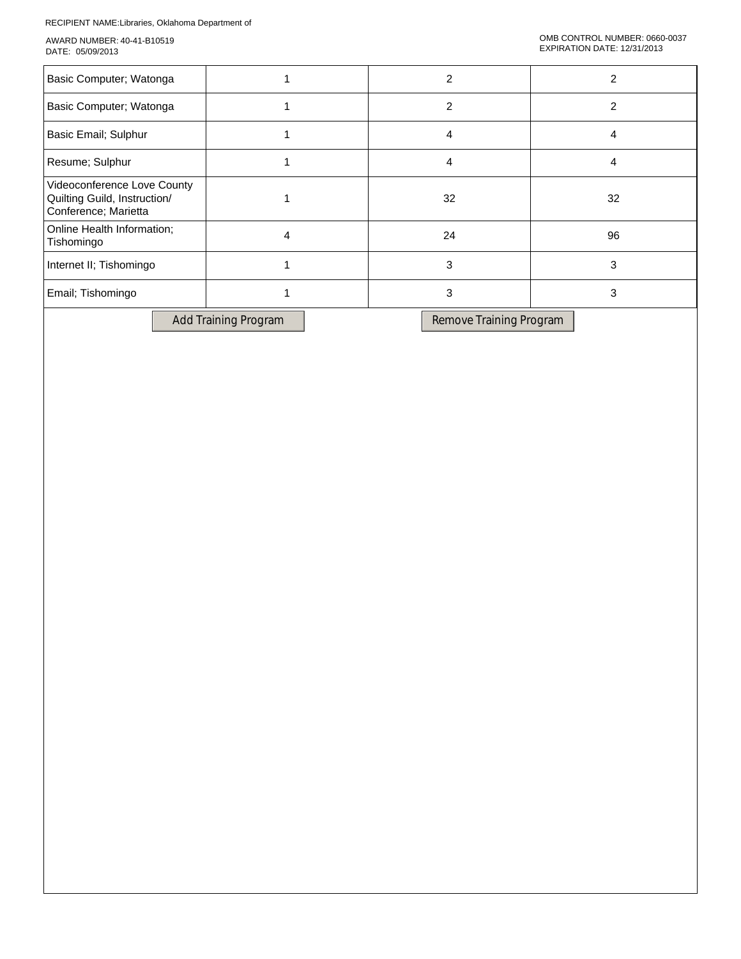| Basic Computer; Watonga                                                             |    |    |
|-------------------------------------------------------------------------------------|----|----|
| Basic Computer; Watonga                                                             | 2  |    |
| Basic Email; Sulphur                                                                | 4  |    |
| Resume; Sulphur                                                                     | 4  |    |
| Videoconference Love County<br>Quilting Guild, Instruction/<br>Conference; Marietta | 32 | 32 |
| Online Health Information;<br>Tishomingo                                            | 24 | 96 |
| Internet II; Tishomingo                                                             | 3  |    |
| Email; Tishomingo                                                                   | 3  |    |

Add Training Program Remove Training Program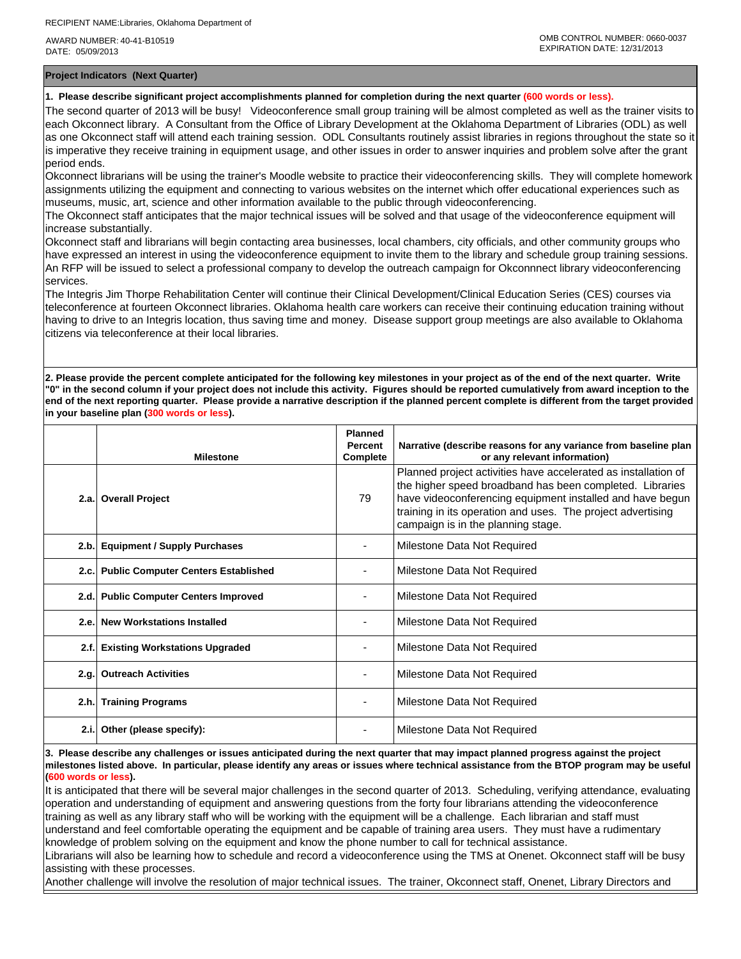**Project Indicators (Next Quarter)**

## **1. Please describe significant project accomplishments planned for completion during the next quarter (600 words or less).**

The second quarter of 2013 will be busy! Videoconference small group training will be almost completed as well as the trainer visits to each Okconnect library. A Consultant from the Office of Library Development at the Oklahoma Department of Libraries (ODL) as well as one Okconnect staff will attend each training session. ODL Consultants routinely assist libraries in regions throughout the state so it is imperative they receive training in equipment usage, and other issues in order to answer inquiries and problem solve after the grant period ends.

Okconnect librarians will be using the trainer's Moodle website to practice their videoconferencing skills. They will complete homework assignments utilizing the equipment and connecting to various websites on the internet which offer educational experiences such as museums, music, art, science and other information available to the public through videoconferencing.

The Okconnect staff anticipates that the major technical issues will be solved and that usage of the videoconference equipment will increase substantially.

Okconnect staff and librarians will begin contacting area businesses, local chambers, city officials, and other community groups who have expressed an interest in using the videoconference equipment to invite them to the library and schedule group training sessions. An RFP will be issued to select a professional company to develop the outreach campaign for Okconnnect library videoconferencing services.

The Integris Jim Thorpe Rehabilitation Center will continue their Clinical Development/Clinical Education Series (CES) courses via teleconference at fourteen Okconnect libraries. Oklahoma health care workers can receive their continuing education training without having to drive to an Integris location, thus saving time and money. Disease support group meetings are also available to Oklahoma citizens via teleconference at their local libraries.

**2. Please provide the percent complete anticipated for the following key milestones in your project as of the end of the next quarter. Write "0" in the second column if your project does not include this activity. Figures should be reported cumulatively from award inception to the end of the next reporting quarter. Please provide a narrative description if the planned percent complete is different from the target provided in your baseline plan (300 words or less).**

|      | <b>Milestone</b>                         | <b>Planned</b><br><b>Percent</b><br>Complete | Narrative (describe reasons for any variance from baseline plan<br>or any relevant information)                                                                                                                                                                                              |
|------|------------------------------------------|----------------------------------------------|----------------------------------------------------------------------------------------------------------------------------------------------------------------------------------------------------------------------------------------------------------------------------------------------|
|      | 2.a. Overall Project                     | 79                                           | Planned project activities have accelerated as installation of<br>the higher speed broadband has been completed. Libraries<br>have videoconferencing equipment installed and have begun<br>training in its operation and uses. The project advertising<br>campaign is in the planning stage. |
| 2.b. | <b>Equipment / Supply Purchases</b>      |                                              | Milestone Data Not Required                                                                                                                                                                                                                                                                  |
|      | 2.c. Public Computer Centers Established |                                              | Milestone Data Not Required                                                                                                                                                                                                                                                                  |
|      | 2.d. Public Computer Centers Improved    |                                              | Milestone Data Not Required                                                                                                                                                                                                                                                                  |
| 2.e. | <b>New Workstations Installed</b>        |                                              | Milestone Data Not Required                                                                                                                                                                                                                                                                  |
| 2.f. | <b>Existing Workstations Upgraded</b>    |                                              | Milestone Data Not Required                                                                                                                                                                                                                                                                  |
| 2.q. | <b>Outreach Activities</b>               |                                              | Milestone Data Not Required                                                                                                                                                                                                                                                                  |
|      | 2.h. Training Programs                   |                                              | Milestone Data Not Required                                                                                                                                                                                                                                                                  |
| 2.i. | Other (please specify):                  |                                              | Milestone Data Not Required                                                                                                                                                                                                                                                                  |

**3. Please describe any challenges or issues anticipated during the next quarter that may impact planned progress against the project milestones listed above. In particular, please identify any areas or issues where technical assistance from the BTOP program may be useful (600 words or less).**

It is anticipated that there will be several major challenges in the second quarter of 2013. Scheduling, verifying attendance, evaluating operation and understanding of equipment and answering questions from the forty four librarians attending the videoconference training as well as any library staff who will be working with the equipment will be a challenge. Each librarian and staff must understand and feel comfortable operating the equipment and be capable of training area users. They must have a rudimentary knowledge of problem solving on the equipment and know the phone number to call for technical assistance.

Librarians will also be learning how to schedule and record a videoconference using the TMS at Onenet. Okconnect staff will be busy assisting with these processes.

Another challenge will involve the resolution of major technical issues. The trainer, Okconnect staff, Onenet, Library Directors and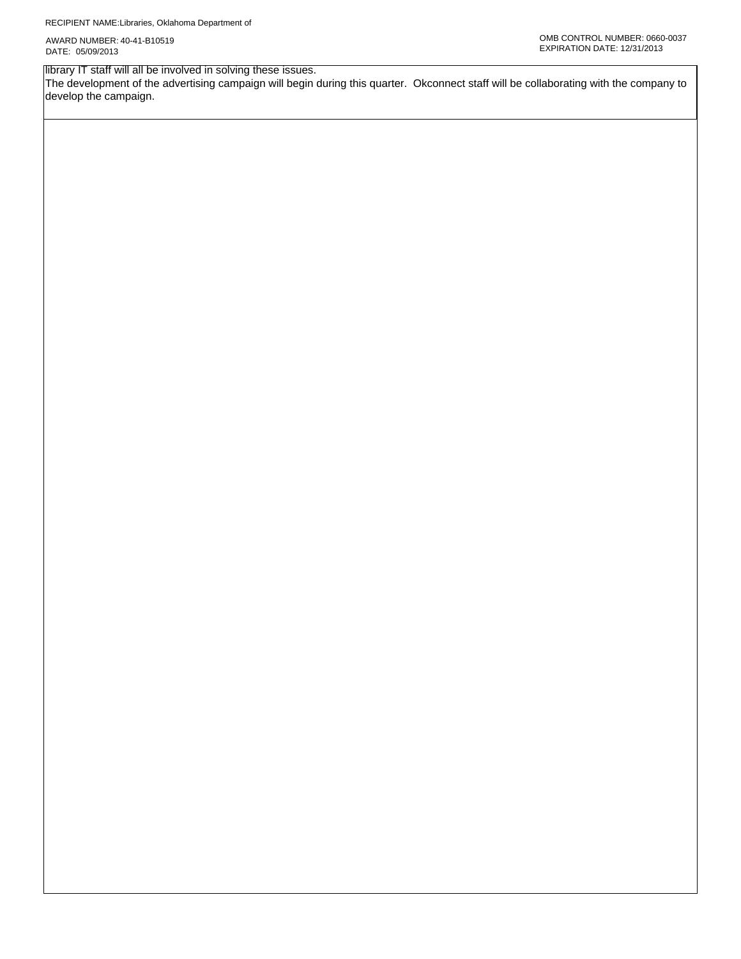library IT staff will all be involved in solving these issues.

The development of the advertising campaign will begin during this quarter. Okconnect staff will be collaborating with the company to develop the campaign.